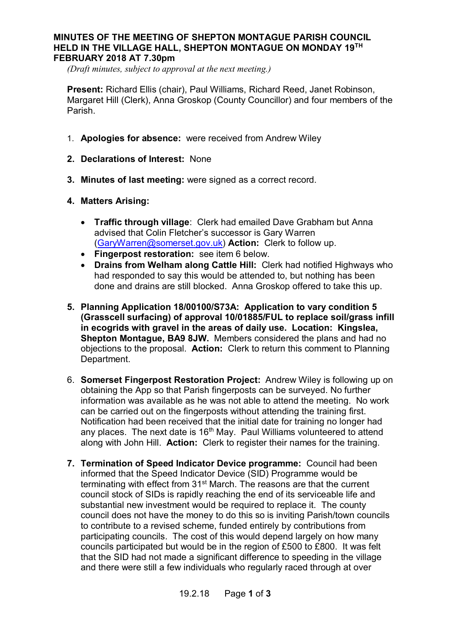## **MINUTES OF THE MEETING OF SHEPTON MONTAGUE PARISH COUNCIL HELD IN THE VILLAGE HALL, SHEPTON MONTAGUE ON MONDAY 19TH FEBRUARY 2018 AT 7.30pm**

*(Draft minutes, subject to approval at the next meeting.)*

**Present:** Richard Ellis (chair), Paul Williams, Richard Reed, Janet Robinson, Margaret Hill (Clerk), Anna Groskop (County Councillor) and four members of the Parish.

- 1. **Apologies for absence:** were received from Andrew Wiley
- **2. Declarations of Interest:** None
- **3. Minutes of last meeting:** were signed as a correct record.
- **4. Matters Arising:**
	- · **Traffic through village**: Clerk had emailed Dave Grabham but Anna advised that Colin Fletcher's successor is Gary Warren (GaryWarren@somerset.gov.uk) **Action:** Clerk to follow up.
	- · **Fingerpost restoration:** see item 6 below.
	- · **Drains from Welham along Cattle Hill:** Clerk had notified Highways who had responded to say this would be attended to, but nothing has been done and drains are still blocked. Anna Groskop offered to take this up.
- **5. Planning Application 18/00100/S73A: Application to vary condition 5 (Grasscell surfacing) of approval 10/01885/FUL to replace soil/grass infill in ecogrids with gravel in the areas of daily use. Location: Kingslea, Shepton Montague, BA9 8JW.** Members considered the plans and had no objections to the proposal. **Action:** Clerk to return this comment to Planning Department.
- 6. **Somerset Fingerpost Restoration Project:** Andrew Wiley is following up on obtaining the App so that Parish fingerposts can be surveyed. No further information was available as he was not able to attend the meeting. No work can be carried out on the fingerposts without attending the training first. Notification had been received that the initial date for training no longer had any places. The next date is  $16<sup>th</sup>$  May. Paul Williams volunteered to attend along with John Hill. **Action:** Clerk to register their names for the training.
- **7. Termination of Speed Indicator Device programme:** Council had been informed that the Speed Indicator Device (SID) Programme would be terminating with effect from 31<sup>st</sup> March. The reasons are that the current council stock of SIDs is rapidly reaching the end of its serviceable life and substantial new investment would be required to replace it. The county council does not have the money to do this so is inviting Parish/town councils to contribute to a revised scheme, funded entirely by contributions from participating councils. The cost of this would depend largely on how many councils participated but would be in the region of £500 to £800. It was felt that the SID had not made a significant difference to speeding in the village and there were still a few individuals who regularly raced through at over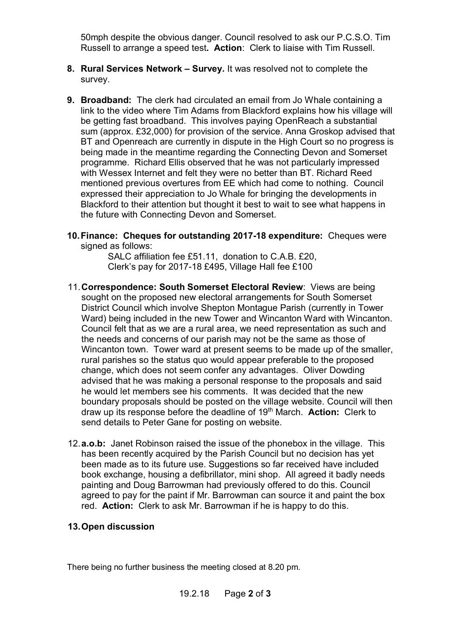50mph despite the obvious danger. Council resolved to ask our P.C.S.O. Tim Russell to arrange a speed test**. Action**: Clerk to liaise with Tim Russell.

- **8. Rural Services Network Survey.** It was resolved not to complete the survey.
- **9. Broadband:** The clerk had circulated an email from Jo Whale containing a link to the video where Tim Adams from Blackford explains how his village will be getting fast broadband. This involves paying OpenReach a substantial sum (approx. £32,000) for provision of the service. Anna Groskop advised that BT and Openreach are currently in dispute in the High Court so no progress is being made in the meantime regarding the Connecting Devon and Somerset programme. Richard Ellis observed that he was not particularly impressed with Wessex Internet and felt they were no better than BT. Richard Reed mentioned previous overtures from EE which had come to nothing. Council expressed their appreciation to Jo Whale for bringing the developments in Blackford to their attention but thought it best to wait to see what happens in the future with Connecting Devon and Somerset.
- **10. Finance: Cheques for outstanding 2017-18 expenditure:** Cheques were signed as follows:

SALC affiliation fee £51.11, donation to C.A.B. £20, Clerk's pay for 2017-18 £495, Village Hall fee £100

- 11.**Correspondence: South Somerset Electoral Review**: Views are being sought on the proposed new electoral arrangements for South Somerset District Council which involve Shepton Montague Parish (currently in Tower Ward) being included in the new Tower and Wincanton Ward with Wincanton. Council felt that as we are a rural area, we need representation as such and the needs and concerns of our parish may not be the same as those of Wincanton town. Tower ward at present seems to be made up of the smaller, rural parishes so the status quo would appear preferable to the proposed change, which does not seem confer any advantages. Oliver Dowding advised that he was making a personal response to the proposals and said he would let members see his comments. It was decided that the new boundary proposals should be posted on the village website. Council will then draw up its response before the deadline of 19th March. **Action:** Clerk to send details to Peter Gane for posting on website.
- 12.**a.o.b:** Janet Robinson raised the issue of the phonebox in the village. This has been recently acquired by the Parish Council but no decision has yet been made as to its future use. Suggestions so far received have included book exchange, housing a defibrillator, mini shop. All agreed it badly needs painting and Doug Barrowman had previously offered to do this. Council agreed to pay for the paint if Mr. Barrowman can source it and paint the box red. **Action:** Clerk to ask Mr. Barrowman if he is happy to do this.

## **13. Open discussion**

There being no further business the meeting closed at 8.20 pm.